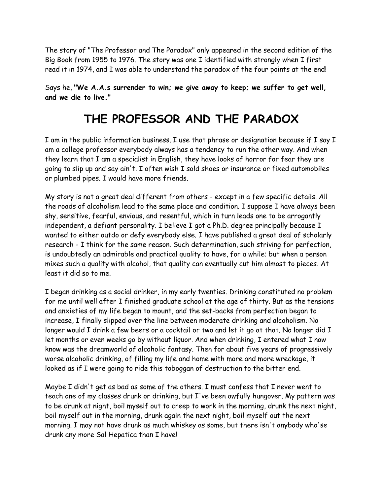The story of "The Professor and The Paradox" only appeared in the second edition of the Big Book from 1955 to 1976. The story was one I identified with strongly when I first read it in 1974, and I was able to understand the paradox of the four points at the end!

Says he, **"We A.A.s surrender to win; we give away to keep; we suffer to get well, and we die to live."**

## **THE PROFESSOR AND THE PARADOX**

I am in the public information business. I use that phrase or designation because if I say I am a college professor everybody always has a tendency to run the other way. And when they learn that I am a specialist in English, they have looks of horror for fear they are going to slip up and say ain't. I often wish I sold shoes or insurance or fixed automobiles or plumbed pipes. I would have more friends.

My story is not a great deal different from others - except in a few specific details. All the roads of alcoholism lead to the same place and condition. I suppose I have always been shy, sensitive, fearful, envious, and resentful, which in turn leads one to be arrogantly independent, a defiant personality. I believe I got a Ph.D. degree principally because I wanted to either outdo or defy everybody else. I have published a great deal of scholarly research - I think for the same reason. Such determination, such striving for perfection, is undoubtedly an admirable and practical quality to have, for a while; but when a person mixes such a quality with alcohol, that quality can eventually cut him almost to pieces. At least it did so to me.

I began drinking as a social drinker, in my early twenties. Drinking constituted no problem for me until well after I finished graduate school at the age of thirty. But as the tensions and anxieties of my life began to mount, and the set-backs from perfection began to increase, I finally slipped over the line between moderate drinking and alcoholism. No longer would I drink a few beers or a cocktail or two and let it go at that. No longer did I let months or even weeks go by without liquor. And when drinking, I entered what I now know was the dreamworld of alcoholic fantasy. Then for about five years of progressively worse alcoholic drinking, of filling my life and home with more and more wreckage, it looked as if I were going to ride this toboggan of destruction to the bitter end.

Maybe I didn't get as bad as some of the others. I must confess that I never went to teach one of my classes drunk or drinking, but I've been awfully hungover. My pattern was to be drunk at night, boil myself out to creep to work in the morning, drunk the next night, boil myself out in the morning, drunk again the next night, boil myself out the next morning. I may not have drunk as much whiskey as some, but there isn't anybody who'se drunk any more Sal Hepatica than I have!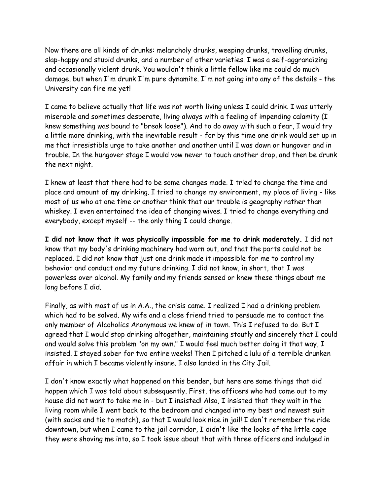Now there are all kinds of drunks: melancholy drunks, weeping drunks, travelling drunks, slap-happy and stupid drunks, and a number of other varieties. I was a self-aggrandizing and occasionally violent drunk. You wouldn't think a little fellow like me could do much damage, but when I'm drunk I'm pure dynamite. I'm not going into any of the details - the University can fire me yet!

I came to believe actually that life was not worth living unless I could drink. I was utterly miserable and sometimes desperate, living always with a feeling of impending calamity (I knew something was bound to "break loose"). And to do away with such a fear, I would try a little more drinking, with the inevitable result - for by this time one drink would set up in me that irresistible urge to take another and another until I was down or hungover and in trouble. In the hungover stage I would vow never to touch another drop, and then be drunk the next night.

I knew at least that there had to be some changes made. I tried to change the time and place and amount of my drinking. I tried to change my environment, my place of living - like most of us who at one time or another think that our trouble is geography rather than whiskey. I even entertained the idea of changing wives. I tried to change everything and everybody, except myself -- the only thing I could change.

**I did not know that it was physically impossible for me to drink moderately.** I did not know that my body's drinking machinery had worn out, and that the parts could not be replaced. I did not know that just one drink made it impossible for me to control my behavior and conduct and my future drinking. I did not know, in short, that I was powerless over alcohol. My family and my friends sensed or knew these things about me long before I did.

Finally, as with most of us in A.A., the crisis came. I realized I had a drinking problem which had to be solved. My wife and a close friend tried to persuade me to contact the only member of Alcoholics Anonymous we knew of in town. This I refused to do. But I agreed that I would stop drinking altogether, maintaining stoutly and sincerely that I could and would solve this problem "on my own." I would feel much better doing it that way, I insisted. I stayed sober for two entire weeks! Then I pitched a lulu of a terrible drunken affair in which I became violently insane. I also landed in the City Jail.

I don't know exactly what happened on this bender, but here are some things that did happen which I was told about subsequently. First, the officers who had come out to my house did not want to take me in - but I insisted! Also, I insisted that they wait in the living room while I went back to the bedroom and changed into my best and newest suit (with socks and tie to match), so that I would look nice in jail! I don't remember the ride downtown, but when I came to the jail corridor, I didn't like the looks of the little cage they were shoving me into, so I took issue about that with three officers and indulged in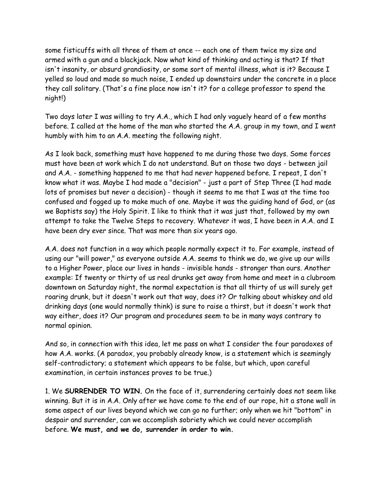some fisticuffs with all three of them at once -- each one of them twice my size and armed with a gun and a blackjack. Now what kind of thinking and acting is that? If that isn't insanity, or absurd grandiosity, or some sort of mental illness, what is it? Because I yelled so loud and made so much noise, I ended up downstairs under the concrete in a place they call solitary. (That's a fine place now isn't it? for a college professor to spend the night!)

Two days later I was willing to try A.A., which I had only vaguely heard of a few months before. I called at the home of the man who started the A.A. group in my town, and I went humbly with him to an A.A. meeting the following night.

As I look back, something must have happened to me during those two days. Some forces must have been at work which I do not understand. But on those two days - between jail and A.A. - something happened to me that had never happened before. I repeat, I don't know what it was. Maybe I had made a "decision" - just a part of Step Three (I had made lots of promises but never a decision) - though it seems to me that I was at the time too confused and fogged up to make much of one. Maybe it was the guiding hand of God, or (as we Baptists say) the Holy Spirit. I like to think that it was just that, followed by my own attempt to take the Twelve Steps to recovery. Whatever it was, I have been in A.A. and I have been dry ever since. That was more than six years ago.

A.A. does not function in a way which people normally expect it to. For example, instead of using our "will power," as everyone outside A.A. seems to think we do, we give up our wills to a Higher Power, place our lives in hands - invisible hands - stronger than ours. Another example: If twenty or thirty of us real drunks get away from home and meet in a clubroom downtown on Saturday night, the normal expectation is that all thirty of us will surely get roaring drunk, but it doesn't work out that way, does it? Or talking about whiskey and old drinking days (one would normally think) is sure to raise a thirst, but it doesn't work that way either, does it? Our program and procedures seem to be in many ways contrary to normal opinion.

And so, in connection with this idea, let me pass on what I consider the four paradoxes of how A.A. works. (A paradox, you probably already know, is a statement which is seemingly self-contradictory; a statement which appears to be false, but which, upon careful examination, in certain instances proves to be true.)

1. We **SURRENDER TO WIN.** On the face of it, surrendering certainly does not seem like winning. But it is in A.A. Only after we have come to the end of our rope, hit a stone wall in some aspect of our lives beyond which we can go no further; only when we hit "bottom" in despair and surrender, can we accomplish sobriety which we could never accomplish before. **We must, and we do, surrender in order to win.**